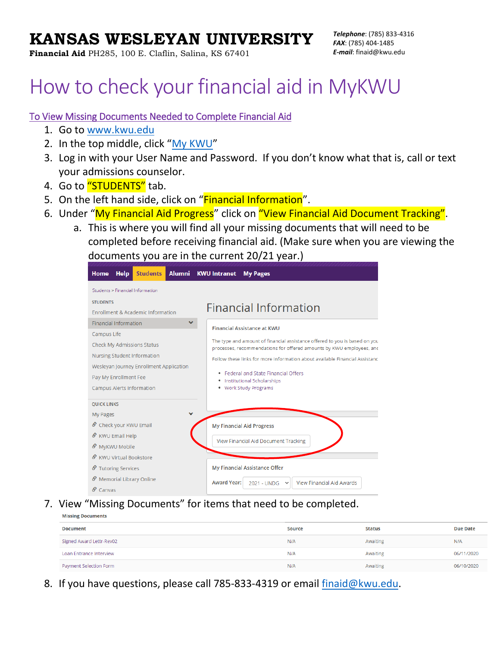## **KANSAS WESLEYAN UNIVERSITY**

**Financial Aid** PH285, 100 E. Claflin, Salina, KS 67401

# How to check your financial aid in MyKWU

#### To View Missing Documents Needed to Complete Financial Aid

- 1. Go to [www.kwu.edu](http://www.kwu.edu/)
- 2. In the top middle, click "[My KWU](https://kwes.acck.edu/ics)"
- 3. Log in with your User Name and Password. If you don't know what that is, call or text your admissions counselor.
- 4. Go to "STUDENTS" tab.
- 5. On the left hand side, click on "Financial Information".
- 6. Under "My Financial Aid Progress" click on "View Financial Aid Document Tracking".
	- a. This is where you will find all your missing documents that will need to be completed before receiving financial aid. (Make sure when you are viewing the documents you are in the current 20/21 year.)

| <b>Students</b><br>Alumni<br>Home<br><b>Help</b> | <b>KWU Intranet</b><br><b>My Pages</b>                                                                                                             |
|--------------------------------------------------|----------------------------------------------------------------------------------------------------------------------------------------------------|
| Students > Financial Information                 |                                                                                                                                                    |
| <b>STUDENTS</b>                                  | <b>Financial Information</b>                                                                                                                       |
| <b>Enrollment &amp; Academic Information</b>     |                                                                                                                                                    |
| v<br><b>Financial Information</b>                | <b>Financial Assistance at KWU</b>                                                                                                                 |
| Campus Life                                      |                                                                                                                                                    |
| Check My Admissions Status                       | The type and amount of financial assistance offered to you is based on you<br>processes, recommendations for offered amounts by KWU employees, and |
| Nursing Student Information                      | Follow these links for more information about available Financial Assistanc                                                                        |
| Wesleyan Journey Enrollment Application          | • Federal and State Financial Offers                                                                                                               |
| Pay My Enrollment Fee                            | <b>Institutional Scholarships</b>                                                                                                                  |
| Campus Alerts Information                        | . Work Study Programs                                                                                                                              |
| <b>QUICK LINKS</b>                               |                                                                                                                                                    |
| My Pages                                         |                                                                                                                                                    |
| S Check your KWU Email                           | <b>My Financial Aid Progress</b>                                                                                                                   |
| S KWU Email Help                                 | View Financial Aid Document Tracking                                                                                                               |
| S MyKWU Mobile                                   |                                                                                                                                                    |
| <i>S</i> KWU Virtual Bookstore                   |                                                                                                                                                    |
| <b><i>S</i></b> ⊤utoring Services                | My Financial Assistance Offer                                                                                                                      |
| S Memorial Library Online                        | <b>Award Year:</b><br><b>View Financial Aid Awards</b><br>2021 - UNDG<br>$\checkmark$                                                              |
| $\mathcal S$ Canvas                              |                                                                                                                                                    |

7. View "Missing Documents" for items that need to be completed.

| <b>Missing Documents</b> |               |               |                 |  |
|--------------------------|---------------|---------------|-----------------|--|
| <b>Document</b>          | <b>Source</b> | <b>Status</b> | <b>Due Date</b> |  |
| Signed Award Lettr-Rev02 | N/A           | Awaiting      | N/A             |  |
| Loan Entrance Interview  | N/A           | Awaiting      | 06/11/2020      |  |
| Payment Selection Form   | N/A           | Awaiting      | 06/10/2020      |  |

8. If you have questions, please call 785-833-4319 or email [finaid@kwu.edu.](mailto:finaid@kwu.edu)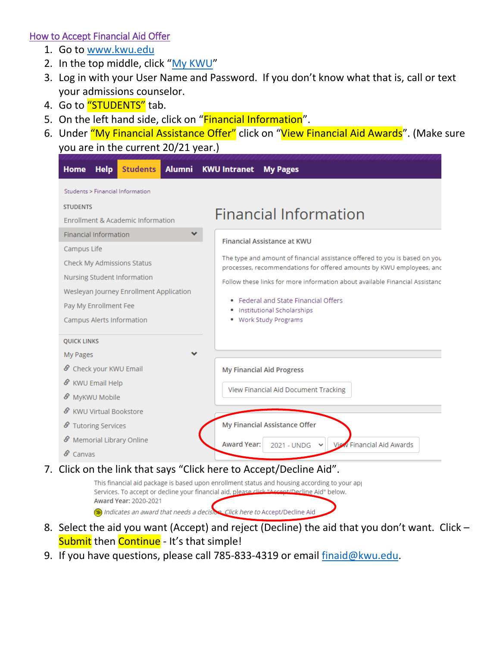#### How to Accept Financial Aid Offer

- 1. Go to [www.kwu.edu](http://www.kwu.edu/)
- 2. In the top middle, click "[My KWU](https://kwes.acck.edu/ics)"
- 3. Log in with your User Name and Password. If you don't know what that is, call or text your admissions counselor.
- 4. Go to "STUDENTS" tab.
- 5. On the left hand side, click on "Financial Information".
- 6. Under "My Financial Assistance Offer" click on "View Financial Aid Awards". (Make sure you are in the current 20/21 year.)

| Students > Financial Information                                                                                                                                                                                                                |                                                                                                                                                                                                                                                                                                                                                                          |
|-------------------------------------------------------------------------------------------------------------------------------------------------------------------------------------------------------------------------------------------------|--------------------------------------------------------------------------------------------------------------------------------------------------------------------------------------------------------------------------------------------------------------------------------------------------------------------------------------------------------------------------|
| <b>STUDENTS</b><br>Enrollment & Academic Information                                                                                                                                                                                            | Financial Information                                                                                                                                                                                                                                                                                                                                                    |
| $\checkmark$<br><b>Financial Information</b><br>Campus Life<br>Check My Admissions Status<br>Nursing Student Information<br>Wesleyan Journey Enrollment Application<br>Pay My Enrollment Fee<br>Campus Alerts Information<br><b>QUICK LINKS</b> | <b>Financial Assistance at KWU</b><br>The type and amount of financial assistance offered to you is based on you<br>processes, recommendations for offered amounts by KWU employees, and<br>Follow these links for more information about available Financial Assistanc<br>• Federal and State Financial Offers<br>· Institutional Scholarships<br>. Work Study Programs |
| My Pages<br>Check your KWU Email<br>ℰ<br><b>KWU Email Help</b><br>ℰ<br>S MyKWU Mobile                                                                                                                                                           | <b>My Financial Aid Progress</b><br>View Financial Aid Document Tracking                                                                                                                                                                                                                                                                                                 |
| <b>KWU Virtual Bookstore</b><br><b>Tutoring Services</b><br>ℰ<br>Memorial Library Online<br>ℰ<br>$\mathcal S$ Canvas                                                                                                                            | My Financial Assistance Offer<br><b>Award Year:</b><br><b>View Financial Aid Awards</b><br>2021 - UNDG                                                                                                                                                                                                                                                                   |

This financial aid package is based upon enrollment status and housing according to your ap Services. To accept or decline your financial aid, please click "Accept/Decline Aid" below. Award Year: 2020-2021 ndicates an award that needs a decision Click here to Accept/Decline Aid

- 8. Select the aid you want (Accept) and reject (Decline) the aid that you don't want. Click Submit then Continue - It's that simple!
- 9. If you have questions, please call 785-833-4319 or email [finaid@kwu.edu.](mailto:finaid@kwu.edu)